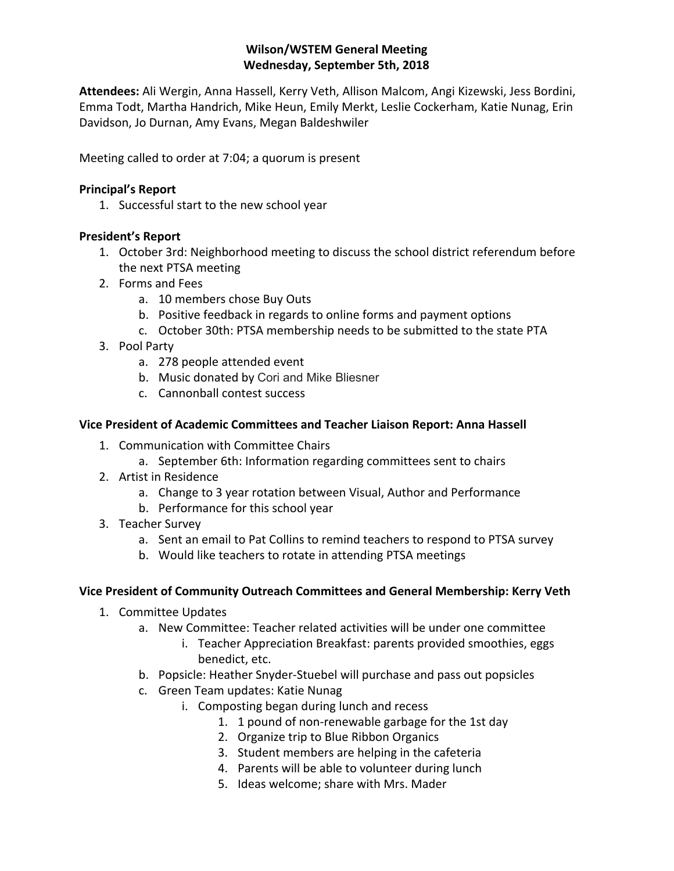## **Wilson/WSTEM General Meeting Wednesday, September 5th, 2018**

**Attendees:** Ali Wergin, Anna Hassell, Kerry Veth, Allison Malcom, Angi Kizewski, Jess Bordini, Emma Todt, Martha Handrich, Mike Heun, Emily Merkt, Leslie Cockerham, Katie Nunag, Erin Davidson, Jo Durnan, Amy Evans, Megan Baldeshwiler

Meeting called to order at 7:04; a quorum is present

## **Principal's Report**

1. Successful start to the new school year

## **President's Report**

- 1. October 3rd: Neighborhood meeting to discuss the school district referendum before the next PTSA meeting
- 2. Forms and Fees
	- a. 10 members chose Buy Outs
	- b. Positive feedback in regards to online forms and payment options
	- c. October 30th: PTSA membership needs to be submitted to the state PTA
- 3. Pool Party
	- a. 278 people attended event
	- b. Music donated by Cori and Mike Bliesner
	- c. Cannonball contest success

### **Vice President of Academic Committees and Teacher Liaison Report: Anna Hassell**

- 1. Communication with Committee Chairs
	- a. September 6th: Information regarding committees sent to chairs
- 2. Artist in Residence
	- a. Change to 3 year rotation between Visual, Author and Performance
	- b. Performance for this school year
- 3. Teacher Survey
	- a. Sent an email to Pat Collins to remind teachers to respond to PTSA survey
	- b. Would like teachers to rotate in attending PTSA meetings

### **Vice President of Community Outreach Committees and General Membership: Kerry Veth**

- 1. Committee Updates
	- a. New Committee: Teacher related activities will be under one committee
		- i. Teacher Appreciation Breakfast: parents provided smoothies, eggs benedict, etc.
	- b. Popsicle: Heather Snyder-Stuebel will purchase and pass out popsicles
	- c. Green Team updates: Katie Nunag
		- i. Composting began during lunch and recess
			- 1. 1 pound of non-renewable garbage for the 1st day
			- 2. Organize trip to Blue Ribbon Organics
			- 3. Student members are helping in the cafeteria
			- 4. Parents will be able to volunteer during lunch
			- 5. Ideas welcome; share with Mrs. Mader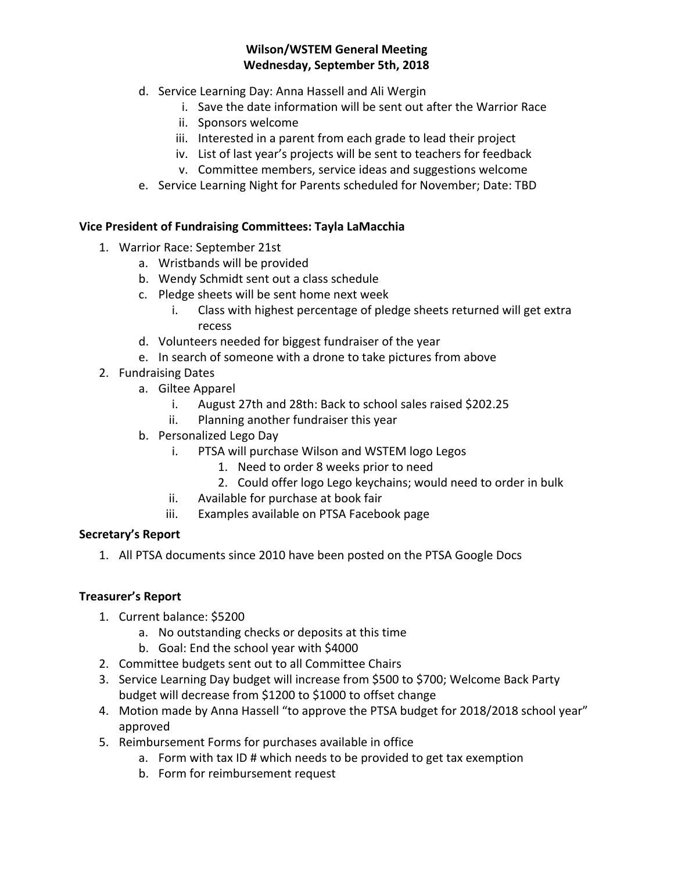# **Wilson/WSTEM General Meeting Wednesday, September 5th, 2018**

- d. Service Learning Day: Anna Hassell and Ali Wergin
	- i. Save the date information will be sent out after the Warrior Race
	- ii. Sponsors welcome
	- iii. Interested in a parent from each grade to lead their project
	- iv. List of last year's projects will be sent to teachers for feedback
	- v. Committee members, service ideas and suggestions welcome
- e. Service Learning Night for Parents scheduled for November; Date: TBD

### **Vice President of Fundraising Committees: Tayla LaMacchia**

- 1. Warrior Race: September 21st
	- a. Wristbands will be provided
	- b. Wendy Schmidt sent out a class schedule
	- c. Pledge sheets will be sent home next week
		- i. Class with highest percentage of pledge sheets returned will get extra recess
	- d. Volunteers needed for biggest fundraiser of the year
	- e. In search of someone with a drone to take pictures from above
- 2. Fundraising Dates
	- a. Giltee Apparel
		- i. August 27th and 28th: Back to school sales raised \$202.25
		- ii. Planning another fundraiser this year
	- b. Personalized Lego Day
		- i. PTSA will purchase Wilson and WSTEM logo Legos
			- 1. Need to order 8 weeks prior to need
			- 2. Could offer logo Lego keychains; would need to order in bulk
		- ii. Available for purchase at book fair
		- iii. Examples available on PTSA Facebook page

### **Secretary's Report**

1. All PTSA documents since 2010 have been posted on the PTSA Google Docs

### **Treasurer's Report**

- 1. Current balance: \$5200
	- a. No outstanding checks or deposits at this time
	- b. Goal: End the school year with \$4000
- 2. Committee budgets sent out to all Committee Chairs
- 3. Service Learning Day budget will increase from \$500 to \$700; Welcome Back Party budget will decrease from \$1200 to \$1000 to offset change
- 4. Motion made by Anna Hassell "to approve the PTSA budget for 2018/2018 school year" approved
- 5. Reimbursement Forms for purchases available in office
	- a. Form with tax ID # which needs to be provided to get tax exemption
	- b. Form for reimbursement request